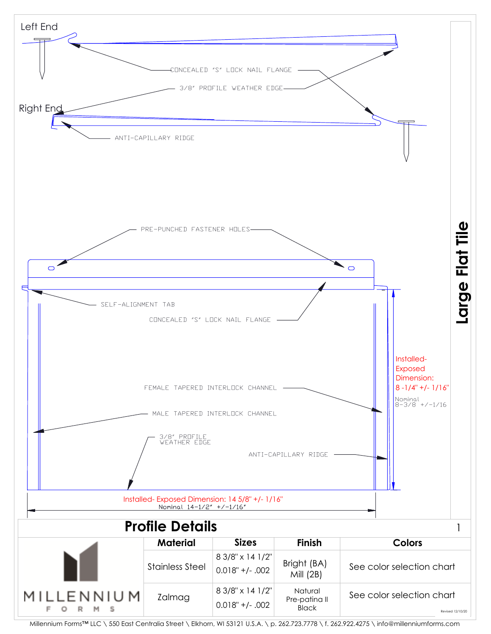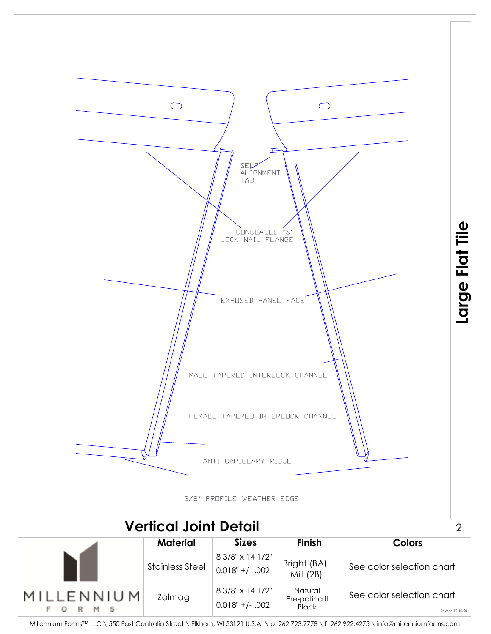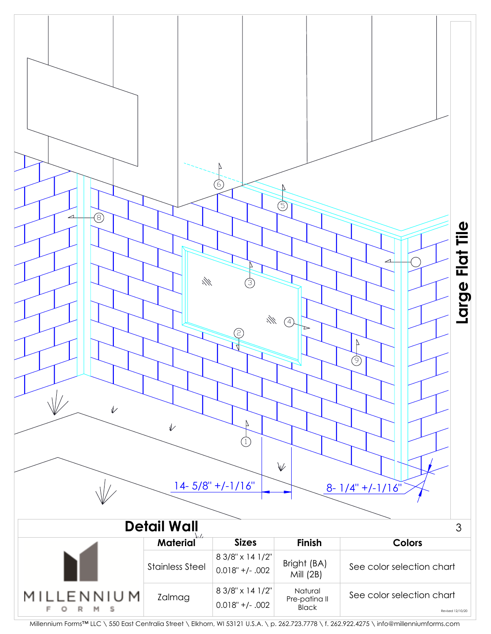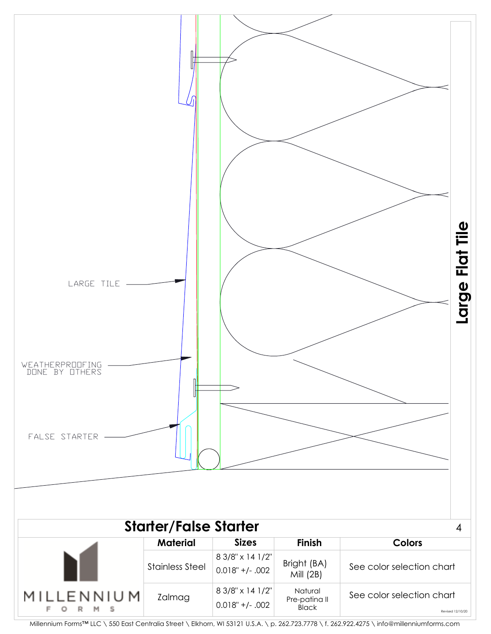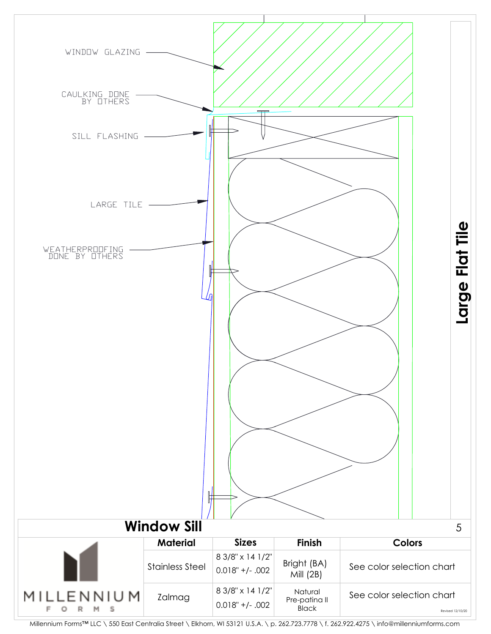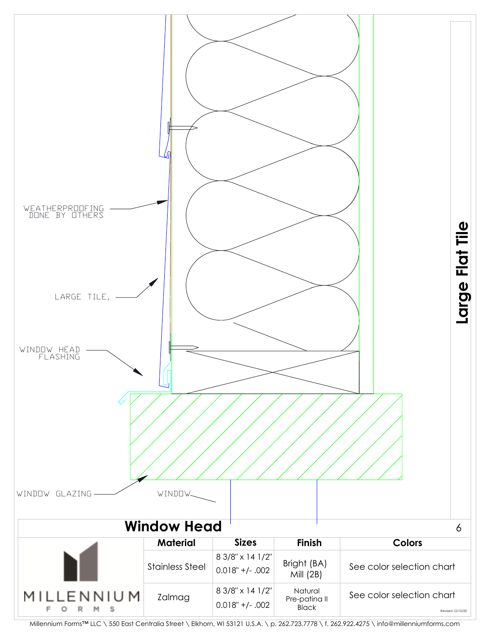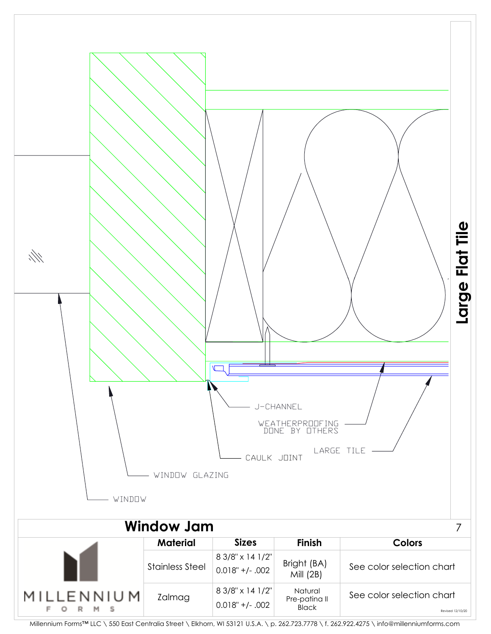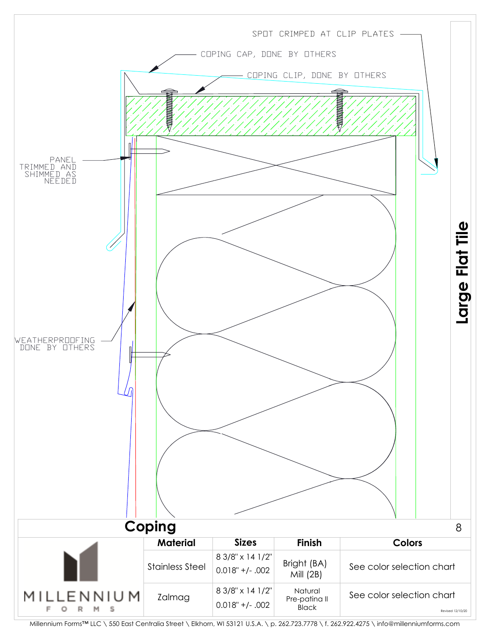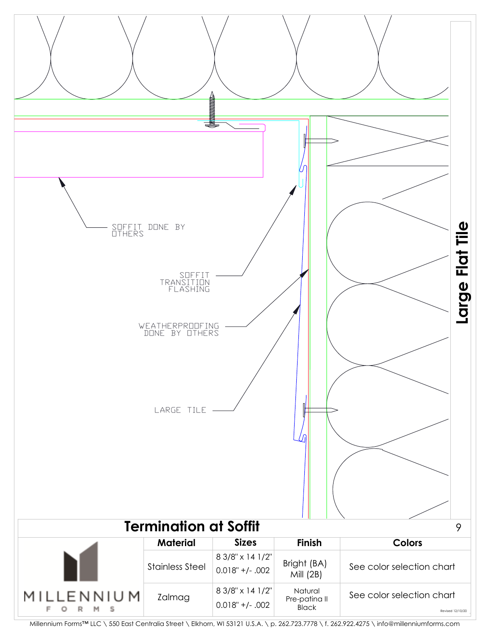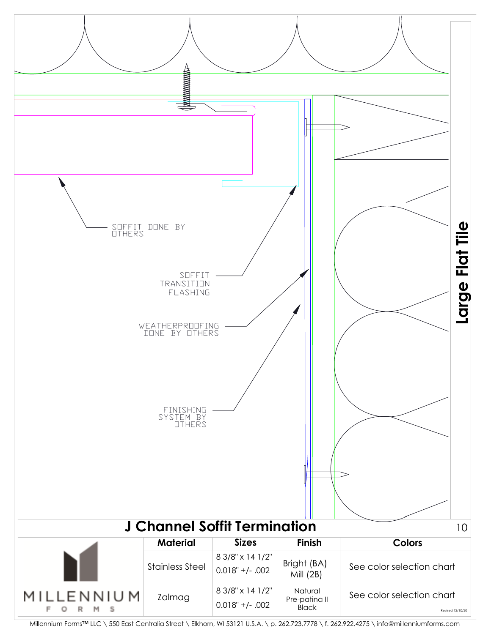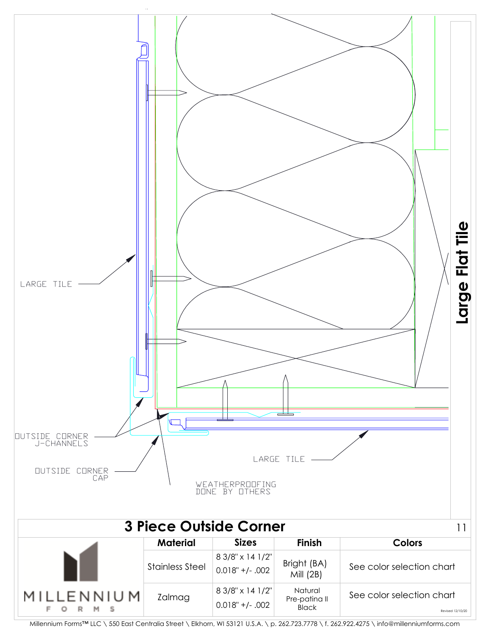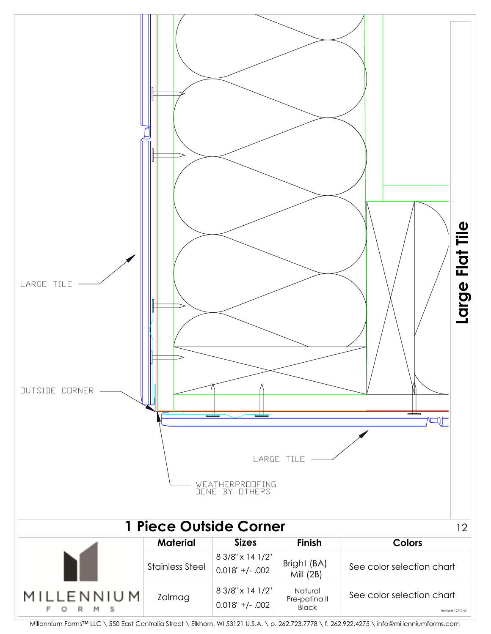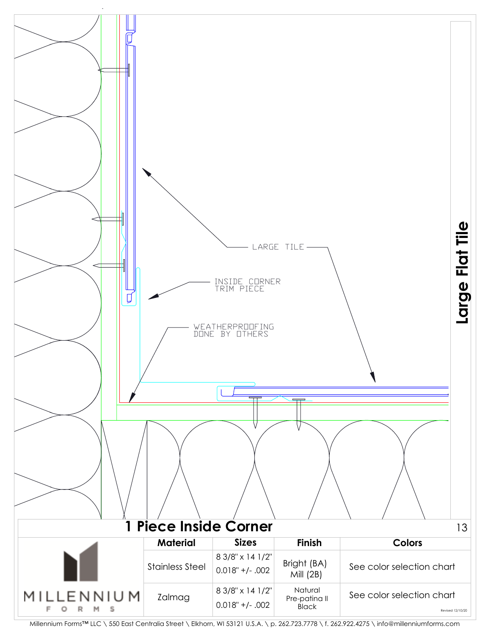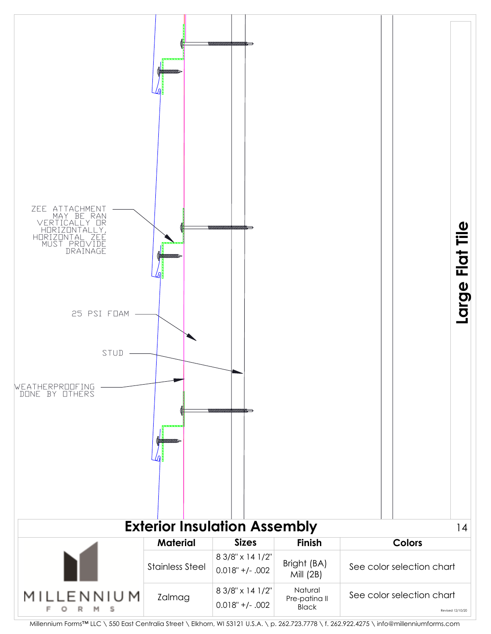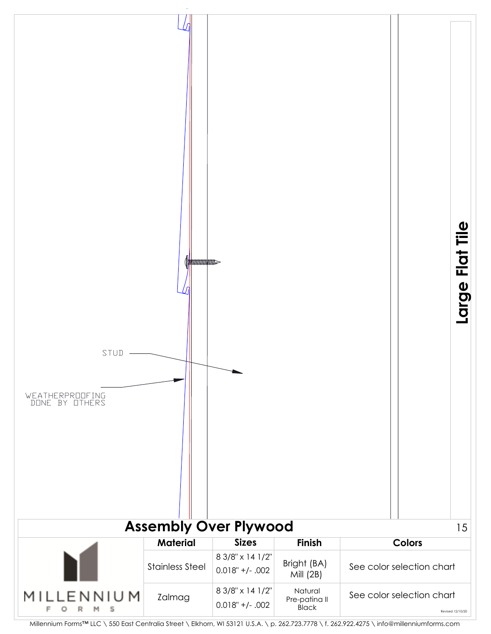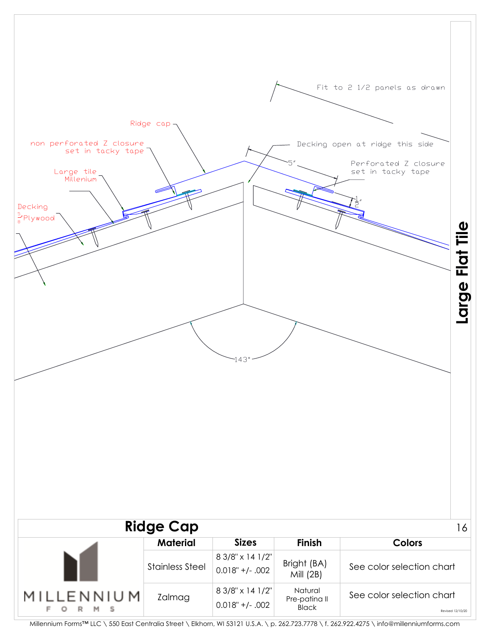